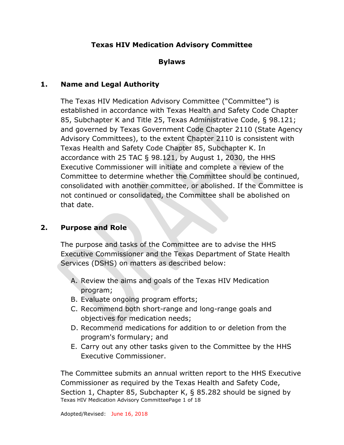# **Texas HIV Medication Advisory Committee**

#### **Bylaws**

#### **1. Name and Legal Authority**

The Texas HIV Medication Advisory Committee ("Committee") is established in accordance with Texas Health and Safety Code Chapter 85, Subchapter K and Title 25, Texas Administrative Code, § 98.121; and governed by Texas Government Code Chapter 2110 (State Agency Advisory Committees), to the extent Chapter 2110 is consistent with Texas Health and Safety Code Chapter 85, Subchapter K. In accordance with 25 TAC § 98.121, by August 1, 2030, the HHS Executive Commissioner will initiate and complete a review of the Committee to determine whether the Committee should be continued, consolidated with another committee, or abolished. If the Committee is not continued or consolidated, the Committee shall be abolished on that date.

#### **2. Purpose and Role**

The purpose and tasks of the Committee are to advise the HHS Executive Commissioner and the Texas Department of State Health Services (DSHS) on matters as described below:

- A. Review the aims and goals of the Texas HIV Medication program;
- B. Evaluate ongoing program efforts;
- C. Recommend both short-range and long-range goals and objectives for medication needs;
- D. Recommend medications for addition to or deletion from the program's formulary; and
- E. Carry out any other tasks given to the Committee by the HHS Executive Commissioner.

Texas HIV Medication Advisory CommitteePage 1 of 18 The Committee submits an annual written report to the HHS Executive Commissioner as required by the Texas Health and Safety Code, Section 1, Chapter 85, Subchapter K, § 85.282 should be signed by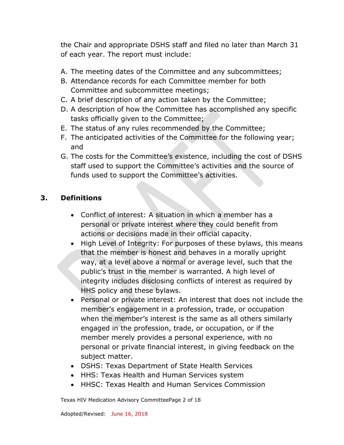the Chair and appropriate DSHS staff and filed no later than March 31 of each year. The report must include:

- A. The meeting dates of the Committee and any subcommittees;
- B. Attendance records for each Committee member for both Committee and subcommittee meetings;
- C. A brief description of any action taken by the Committee;
- D. A description of how the Committee has accomplished any specific tasks officially given to the Committee;
- E. The status of any rules recommended by the Committee;
- F. The anticipated activities of the Committee for the following year; and
- G. The costs for the Committee's existence, including the cost of DSHS staff used to support the Committee's activities and the source of funds used to support the Committee's activities.

# **3. Definitions**

- Conflict of interest: A situation in which a member has a personal or private interest where they could benefit from actions or decisions made in their official capacity.
- High Level of Integrity: For purposes of these bylaws, this means that the member is honest and behaves in a morally upright way, at a level above a normal or average level, such that the public's trust in the member is warranted. A high level of integrity includes disclosing conflicts of interest as required by HHS policy and these bylaws.
- Personal or private interest: An interest that does not include the member's engagement in a profession, trade, or occupation when the member's interest is the same as all others similarly engaged in the profession, trade, or occupation, or if the member merely provides a personal experience, with no personal or private financial interest, in giving feedback on the subject matter.
- DSHS: Texas Department of State Health Services
- HHS: Texas Health and Human Services system
- HHSC: Texas Health and Human Services Commission

Texas HIV Medication Advisory CommitteePage 2 of 18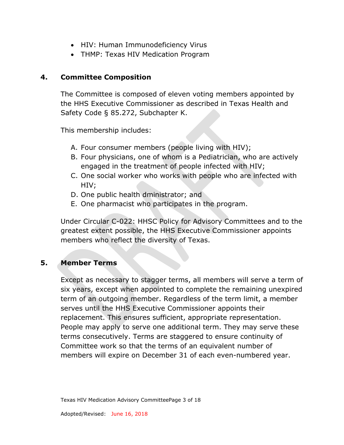- HIV: Human Immunodeficiency Virus
- THMP: Texas HIV Medication Program

#### **4. Committee Composition**

The Committee is composed of eleven voting members appointed by the HHS Executive Commissioner as described in Texas Health and Safety Code § 85.272, Subchapter K.

This membership includes:

- A. Four consumer members (people living with HIV);
- B. Four physicians, one of whom is a Pediatrician, who are actively engaged in the treatment of people infected with HIV;
- C. One social worker who works with people who are infected with HIV;
- D. One public health dministrator; and
- E. One pharmacist who participates in the program.

Under Circular C-022: HHSC Policy for Advisory Committees and to the greatest extent possible, the HHS Executive Commissioner appoints members who reflect the diversity of Texas.

#### **5. Member Terms**

Except as necessary to stagger terms, all members will serve a term of six years, except when appointed to complete the remaining unexpired term of an outgoing member. Regardless of the term limit, a member serves until the HHS Executive Commissioner appoints their replacement. This ensures sufficient, appropriate representation. People may apply to serve one additional term. They may serve these terms consecutively. Terms are staggered to ensure continuity of Committee work so that the terms of an equivalent number of members will expire on December 31 of each even-numbered year.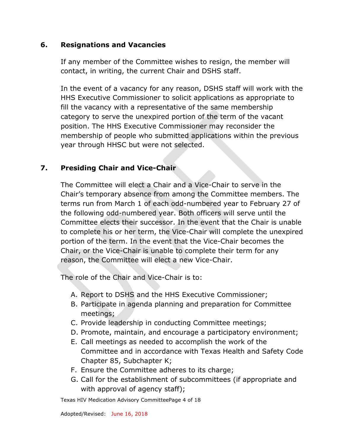## **6. Resignations and Vacancies**

If any member of the Committee wishes to resign, the member will contact, in writing, the current Chair and DSHS staff.

In the event of a vacancy for any reason, DSHS staff will work with the HHS Executive Commissioner to solicit applications as appropriate to fill the vacancy with a representative of the same membership category to serve the unexpired portion of the term of the vacant position. The HHS Executive Commissioner may reconsider the membership of people who submitted applications within the previous year through HHSC but were not selected.

# **7. Presiding Chair and Vice-Chair**

The Committee will elect a Chair and a Vice-Chair to serve in the Chair's temporary absence from among the Committee members. The terms run from March 1 of each odd-numbered year to February 27 of the following odd-numbered year. Both officers will serve until the Committee elects their successor. In the event that the Chair is unable to complete his or her term, the Vice-Chair will complete the unexpired portion of the term. In the event that the Vice-Chair becomes the Chair, or the Vice-Chair is unable to complete their term for any reason, the Committee will elect a new Vice-Chair.

The role of the Chair and Vice-Chair is to:

- A. Report to DSHS and the HHS Executive Commissioner;
- B. Participate in agenda planning and preparation for Committee meetings;
- C. Provide leadership in conducting Committee meetings;
- D. Promote, maintain, and encourage a participatory environment;
- E. Call meetings as needed to accomplish the work of the Committee and in accordance with Texas Health and Safety Code Chapter 85, Subchapter K;
- F. Ensure the Committee adheres to its charge;
- G. Call for the establishment of subcommittees (if appropriate and with approval of agency staff);

Texas HIV Medication Advisory CommitteePage 4 of 18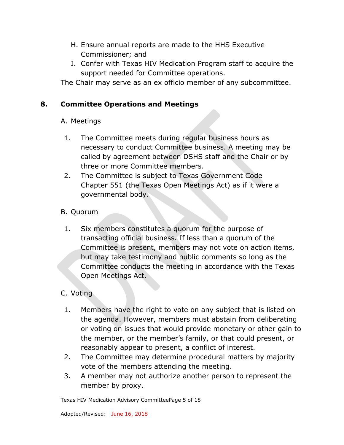- H. Ensure annual reports are made to the HHS Executive Commissioner; and
- I. Confer with Texas HIV Medication Program staff to acquire the support needed for Committee operations.

The Chair may serve as an ex officio member of any subcommittee.

## **8. Committee Operations and Meetings**

## A. Meetings

- 1. The Committee meets during regular business hours as necessary to conduct Committee business. A meeting may be called by agreement between DSHS staff and the Chair or by three or more Committee members.
- 2. The Committee is subject to Texas Government Code Chapter 551 (the Texas Open Meetings Act) as if it were a governmental body.
- B. Quorum
- 1. Six members constitutes a quorum for the purpose of transacting official business. If less than a quorum of the Committee is present, members may not vote on action items, but may take testimony and public comments so long as the Committee conducts the meeting in accordance with the Texas Open Meetings Act.

# C. Voting

- 1. Members have the right to vote on any subject that is listed on the agenda. However, members must abstain from deliberating or voting on issues that would provide monetary or other gain to the member, or the member's family, or that could present, or reasonably appear to present, a conflict of interest.
- 2. The Committee may determine procedural matters by majority vote of the members attending the meeting.
- 3. A member may not authorize another person to represent the member by proxy.

Texas HIV Medication Advisory CommitteePage 5 of 18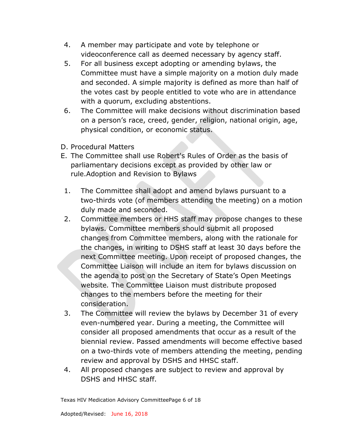- 4. A member may participate and vote by telephone or videoconference call as deemed necessary by agency staff.
- 5. For all business except adopting or amending bylaws, the Committee must have a simple majority on a motion duly made and seconded. A simple majority is defined as more than half of the votes cast by people entitled to vote who are in attendance with a quorum, excluding abstentions.
- 6. The Committee will make decisions without discrimination based on a person's race, creed, gender, religion, national origin, age, physical condition, or economic status.
- D. Procedural Matters
- E. The Committee shall use Robert's Rules of Order as the basis of parliamentary decisions except as provided by other law or rule.Adoption and Revision to Bylaws
- 1. The Committee shall adopt and amend bylaws pursuant to a two-thirds vote (of members attending the meeting) on a motion duly made and seconded.
- 2. Committee members or HHS staff may propose changes to these bylaws. Committee members should submit all proposed changes from Committee members, along with the rationale for the changes, in writing to DSHS staff at least 30 days before the next Committee meeting. Upon receipt of proposed changes, the Committee Liaison will include an item for bylaws discussion on the agenda to post on the Secretary of State's Open Meetings website*.* The Committee Liaison must distribute proposed changes to the members before the meeting for their consideration.
- 3. The Committee will review the bylaws by December 31 of every even-numbered year. During a meeting, the Committee will consider all proposed amendments that occur as a result of the biennial review. Passed amendments will become effective based on a two-thirds vote of members attending the meeting, pending review and approval by DSHS and HHSC staff.
- 4. All proposed changes are subject to review and approval by DSHS and HHSC staff.

Texas HIV Medication Advisory CommitteePage 6 of 18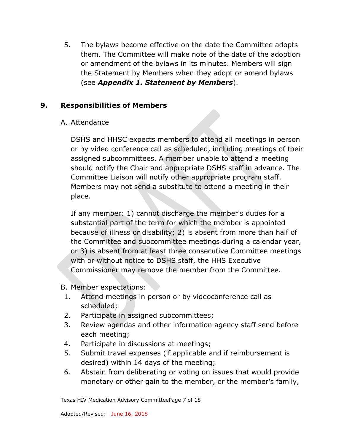5. The bylaws become effective on the date the Committee adopts them. The Committee will make note of the date of the adoption or amendment of the bylaws in its minutes. Members will sign the Statement by Members when they adopt or amend bylaws (see *[Appendix 1. Statement by Members](#page-15-0)*).

## **9. Responsibilities of Members**

A. Attendance

DSHS and HHSC expects members to attend all meetings in person or by video conference call as scheduled, including meetings of their assigned subcommittees. A member unable to attend a meeting should notify the Chair and appropriate DSHS staff in advance. The Committee Liaison will notify other appropriate program staff. Members may not send a substitute to attend a meeting in their place.

If any member: 1) cannot discharge the member's duties for a substantial part of the term for which the member is appointed because of illness or disability; 2) is absent from more than half of the Committee and subcommittee meetings during a calendar year, or 3) is absent from at least three consecutive Committee meetings with or without notice to DSHS staff, the HHS Executive Commissioner may remove the member from the Committee.

B. Member expectations:

- 1. Attend meetings in person or by videoconference call as scheduled;
- 2. Participate in assigned subcommittees;
- 3. Review agendas and other information agency staff send before each meeting;
- 4. Participate in discussions at meetings;
- 5. Submit travel expenses (if applicable and if reimbursement is desired) within 14 days of the meeting;
- 6. Abstain from deliberating or voting on issues that would provide monetary or other gain to the member, or the member's family,

Texas HIV Medication Advisory CommitteePage 7 of 18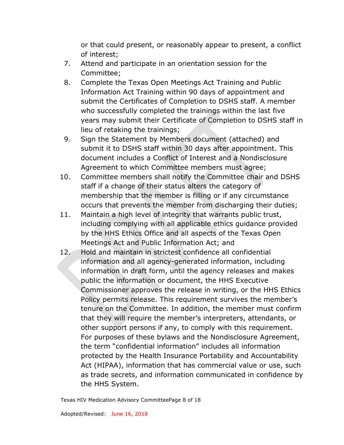or that could present, or reasonably appear to present, a conflict of interest;

- 7. Attend and participate in an orientation session for the Committee;
- 8. Complete the Texas Open Meetings Act Training and Public Information Act Training within 90 days of appointment and submit the Certificates of Completion to DSHS staff. A member who successfully completed the trainings within the last five years may submit their Certificate of Completion to DSHS staff in lieu of retaking the trainings;
- 9. Sign the Statement by Members document (attached) and submit it to DSHS staff within 30 days after appointment. This document includes a Conflict of Interest and a Nondisclosure Agreement to which Committee members must agree;
- 10. Committee members shall notify the Committee chair and DSHS staff if a change of their status alters the category of membership that the member is filling or if any circumstance occurs that prevents the member from discharging their duties;
- 11. Maintain a high level of integrity that warrants public trust, including complying with all applicable ethics guidance provided by the HHS Ethics Office and all aspects of the Texas Open Meetings Act and Public Information Act; and
- 12. Hold and maintain in strictest confidence all confidential information and all agency-generated information, including information in draft form, until the agency releases and makes public the information or document, the HHS Executive Commissioner approves the release in writing, or the HHS Ethics Policy permits release. This requirement survives the member's tenure on the Committee. In addition, the member must confirm that they will require the member's interpreters, attendants, or other support persons if any, to comply with this requirement. For purposes of these bylaws and the Nondisclosure Agreement, the term "confidential information" includes all information protected by the Health Insurance Portability and Accountability Act (HIPAA), information that has commercial value or use, such as trade secrets, and information communicated in confidence by the HHS System.

Texas HIV Medication Advisory CommitteePage 8 of 18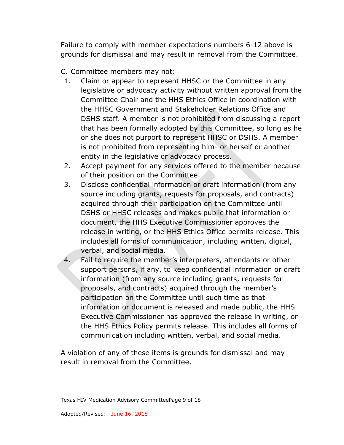Failure to comply with member expectations numbers 6-12 above is grounds for dismissal and may result in removal from the Committee.

- C. Committee members may not:
- 1. Claim or appear to represent HHSC or the Committee in any legislative or advocacy activity without written approval from the Committee Chair and the HHS Ethics Office in coordination with the HHSC Government and Stakeholder Relations Office and DSHS staff. A member is not prohibited from discussing a report that has been formally adopted by this Committee, so long as he or she does not purport to represent HHSC or DSHS. A member is not prohibited from representing him- or herself or another entity in the legislative or advocacy process.
- 2. Accept payment for any services offered to the member because of their position on the Committee.
- 3. Disclose confidential information or draft information (from any source including grants, requests for proposals, and contracts) acquired through their participation on the Committee until DSHS or HHSC releases and makes public that information or document, the HHS Executive Commissioner approves the release in writing, or the HHS Ethics Office permits release. This includes all forms of communication, including written, digital, verbal, and social media.
- 4. Fail to require the member's interpreters, attendants or other support persons, if any, to keep confidential information or draft information (from any source including grants, requests for proposals, and contracts) acquired through the member's participation on the Committee until such time as that information or document is released and made public, the HHS Executive Commissioner has approved the release in writing, or the HHS Ethics Policy permits release. This includes all forms of communication including written, verbal, and social media.

A violation of any of these items is grounds for dismissal and may result in removal from the Committee.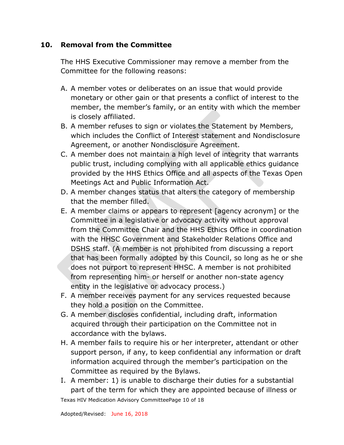#### **10. Removal from the Committee**

The HHS Executive Commissioner may remove a member from the Committee for the following reasons:

- A. A member votes or deliberates on an issue that would provide monetary or other gain or that presents a conflict of interest to the member, the member's family, or an entity with which the member is closely affiliated.
- B. A member refuses to sign or violates the Statement by Members, which includes the Conflict of Interest statement and Nondisclosure Agreement, or another Nondisclosure Agreement.
- C. A member does not maintain a high level of integrity that warrants public trust, including complying with all applicable ethics guidance provided by the HHS Ethics Office and all aspects of the Texas Open Meetings Act and Public Information Act.
- D. A member changes status that alters the category of membership that the member filled.
- E. A member claims or appears to represent [agency acronym] or the Committee in a legislative or advocacy activity without approval from the Committee Chair and the HHS Ethics Office in coordination with the HHSC Government and Stakeholder Relations Office and DSHS staff. (A member is not prohibited from discussing a report that has been formally adopted by this Council, so long as he or she does not purport to represent HHSC. A member is not prohibited from representing him- or herself or another non-state agency entity in the legislative or advocacy process.)
- F. A member receives payment for any services requested because they hold a position on the Committee.
- G. A member discloses confidential, including draft, information acquired through their participation on the Committee not in accordance with the bylaws.
- H. A member fails to require his or her interpreter, attendant or other support person, if any, to keep confidential any information or draft information acquired through the member's participation on the Committee as required by the Bylaws.
- I. A member: 1) is unable to discharge their duties for a substantial part of the term for which they are appointed because of illness or

Texas HIV Medication Advisory CommitteePage 10 of 18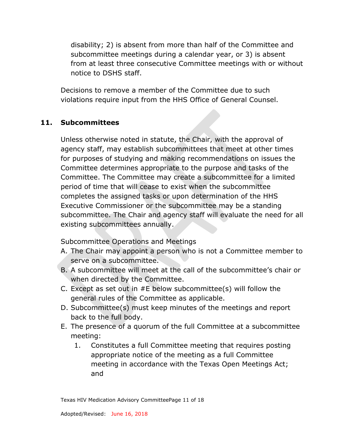disability; 2) is absent from more than half of the Committee and subcommittee meetings during a calendar year, or 3) is absent from at least three consecutive Committee meetings with or without notice to DSHS staff.

Decisions to remove a member of the Committee due to such violations require input from the HHS Office of General Counsel.

## **11. Subcommittees**

Unless otherwise noted in statute, the Chair, with the approval of agency staff, may establish subcommittees that meet at other times for purposes of studying and making recommendations on issues the Committee determines appropriate to the purpose and tasks of the Committee. The Committee may create a subcommittee for a limited period of time that will cease to exist when the subcommittee completes the assigned tasks or upon determination of the HHS Executive Commissioner or the subcommittee may be a standing subcommittee. The Chair and agency staff will evaluate the need for all existing subcommittees annually.

Subcommittee Operations and Meetings

- A. The Chair may appoint a person who is not a Committee member to serve on a subcommittee.
- B. A subcommittee will meet at the call of the subcommittee's chair or when directed by the Committee.
- C. Except as set out in #E below subcommittee(s) will follow the general rules of the Committee as applicable.
- D. Subcommittee(s) must keep minutes of the meetings and report back to the full body.
- E. The presence of a quorum of the full Committee at a subcommittee meeting:
	- 1. Constitutes a full Committee meeting that requires posting appropriate notice of the meeting as a full Committee meeting in accordance with the Texas Open Meetings Act; and

Texas HIV Medication Advisory CommitteePage 11 of 18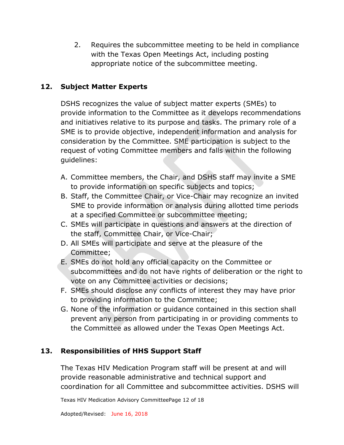2. Requires the subcommittee meeting to be held in compliance with the Texas Open Meetings Act, including posting appropriate notice of the subcommittee meeting.

## **12. Subject Matter Experts**

DSHS recognizes the value of subject matter experts (SMEs) to provide information to the Committee as it develops recommendations and initiatives relative to its purpose and tasks. The primary role of a SME is to provide objective, independent information and analysis for consideration by the Committee. SME participation is subject to the request of voting Committee members and falls within the following guidelines:

- A. Committee members, the Chair, and DSHS staff may invite a SME to provide information on specific subjects and topics;
- B. Staff, the Committee Chair, or Vice-Chair may recognize an invited SME to provide information or analysis during allotted time periods at a specified Committee or subcommittee meeting;
- C. SMEs will participate in questions and answers at the direction of the staff, Committee Chair, or Vice-Chair;
- D. All SMEs will participate and serve at the pleasure of the Committee;
- E. SMEs do not hold any official capacity on the Committee or subcommittees and do not have rights of deliberation or the right to vote on any Committee activities or decisions;
- F. SMEs should disclose any conflicts of interest they may have prior to providing information to the Committee;
- G. None of the information or guidance contained in this section shall prevent any person from participating in or providing comments to the Committee as allowed under the Texas Open Meetings Act.

## **13. Responsibilities of HHS Support Staff**

The Texas HIV Medication Program staff will be present at and will provide reasonable administrative and technical support and coordination for all Committee and subcommittee activities. DSHS will

Texas HIV Medication Advisory CommitteePage 12 of 18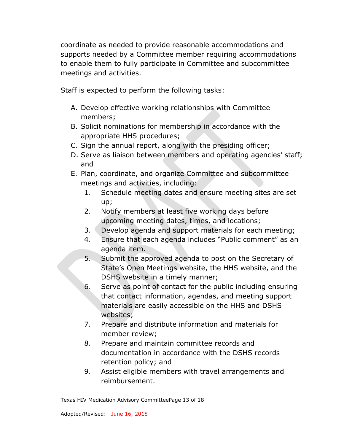coordinate as needed to provide reasonable accommodations and supports needed by a Committee member requiring accommodations to enable them to fully participate in Committee and subcommittee meetings and activities.

Staff is expected to perform the following tasks:

- A. Develop effective working relationships with Committee members;
- B. Solicit nominations for membership in accordance with the appropriate HHS procedures;
- C. Sign the annual report, along with the presiding officer;
- D. Serve as liaison between members and operating agencies' staff; and
- E. Plan, coordinate, and organize Committee and subcommittee meetings and activities, including:
	- 1. Schedule meeting dates and ensure meeting sites are set up;
	- 2. Notify members at least five working days before upcoming meeting dates, times, and locations;
	- 3. Develop agenda and support materials for each meeting;
	- 4. Ensure that each agenda includes "Public comment" as an agenda item.
	- 5. Submit the approved agenda to post on the Secretary of State's Open Meetings website, the HHS website, and the DSHS website in a timely manner;
	- 6. Serve as point of contact for the public including ensuring that contact information, agendas, and meeting support materials are easily accessible on the HHS and DSHS websites;
	- 7. Prepare and distribute information and materials for member review;
	- 8. Prepare and maintain committee records and documentation in accordance with the DSHS records retention policy; and
	- 9. Assist eligible members with travel arrangements and reimbursement.

Texas HIV Medication Advisory CommitteePage 13 of 18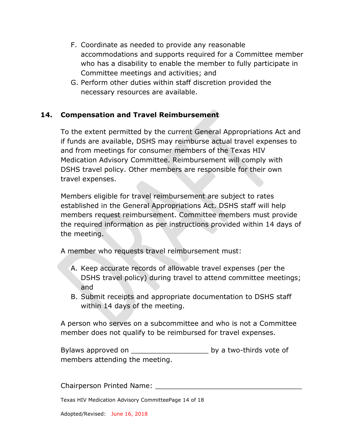- F. Coordinate as needed to provide any reasonable accommodations and supports required for a Committee member who has a disability to enable the member to fully participate in Committee meetings and activities; and
- G. Perform other duties within staff discretion provided the necessary resources are available.

## **14. Compensation and Travel Reimbursement**

To the extent permitted by the current General Appropriations Act and if funds are available, DSHS may reimburse actual travel expenses to and from meetings for consumer members of the Texas HIV Medication Advisory Committee. Reimbursement will comply with DSHS travel policy. Other members are responsible for their own travel expenses.

Members eligible for travel reimbursement are subject to rates established in the General Appropriations Act. DSHS staff will help members request reimbursement. Committee members must provide the required information as per instructions provided within 14 days of the meeting.

A member who requests travel reimbursement must:

- A. Keep accurate records of allowable travel expenses (per the DSHS travel policy) during travel to attend committee meetings; and
- B. Submit receipts and appropriate documentation to DSHS staff within 14 days of the meeting.

A person who serves on a subcommittee and who is not a Committee member does not qualify to be reimbursed for travel expenses.

Bylaws approved on the same of the by a two-thirds vote of members attending the meeting.

Chairperson Printed Name:

Texas HIV Medication Advisory CommitteePage 14 of 18

Adopted/Revised: June 16, 2018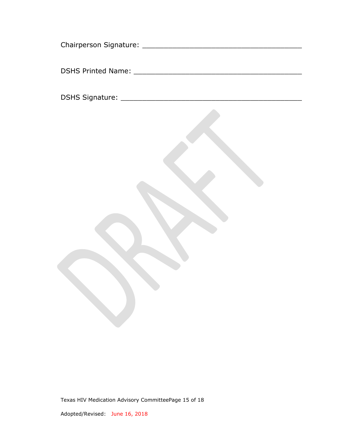Texas HIV Medication Advisory CommitteePage 15 of 18

Adopted/Revised: June 16, 2018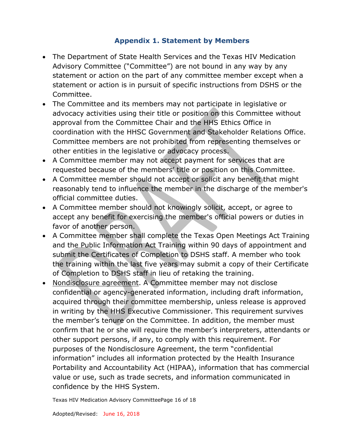## **Appendix 1. Statement by Members**

- <span id="page-15-0"></span>• The Department of State Health Services and the Texas HIV Medication Advisory Committee ("Committee") are not bound in any way by any statement or action on the part of any committee member except when a statement or action is in pursuit of specific instructions from DSHS or the Committee.
- The Committee and its members may not participate in legislative or advocacy activities using their title or position on this Committee without approval from the Committee Chair and the HHS Ethics Office in coordination with the HHSC Government and Stakeholder Relations Office. Committee members are not prohibited from representing themselves or other entities in the legislative or advocacy process.
- A Committee member may not accept payment for services that are requested because of the members' title or position on this Committee.
- A Committee member should not accept or solicit any benefit that might reasonably tend to influence the member in the discharge of the member's official committee duties.
- A Committee member should not knowingly solicit, accept, or agree to accept any benefit for exercising the member's official powers or duties in favor of another person.
- A Committee member shall complete the Texas Open Meetings Act Training and the Public Information Act Training within 90 days of appointment and submit the Certificates of Completion to DSHS staff. A member who took the training within the last five years may submit a copy of their Certificate of Completion to DSHS staff in lieu of retaking the training.
- Nondisclosure agreement. A Committee member may not disclose confidential or agency-generated information, including draft information, acquired through their committee membership, unless release is approved in writing by the HHS Executive Commissioner. This requirement survives the member's tenure on the Committee. In addition, the member must confirm that he or she will require the member's interpreters, attendants or other support persons, if any, to comply with this requirement. For purposes of the Nondisclosure Agreement, the term "confidential information" includes all information protected by the Health Insurance Portability and Accountability Act (HIPAA), information that has commercial value or use, such as trade secrets, and information communicated in confidence by the HHS System.

Texas HIV Medication Advisory CommitteePage 16 of 18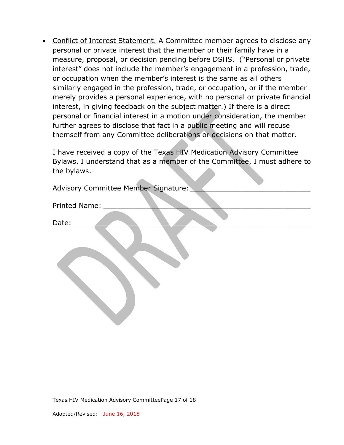• Conflict of Interest Statement. A Committee member agrees to disclose any personal or private interest that the member or their family have in a measure, proposal, or decision pending before DSHS. ("Personal or private interest" does not include the member's engagement in a profession, trade, or occupation when the member's interest is the same as all others similarly engaged in the profession, trade, or occupation, or if the member merely provides a personal experience, with no personal or private financial interest, in giving feedback on the subject matter.) If there is a direct personal or financial interest in a motion under consideration, the member further agrees to disclose that fact in a public meeting and will recuse themself from any Committee deliberations or decisions on that matter.

I have received a copy of the Texas HIV Medication Advisory Committee Bylaws. I understand that as a member of the Committee, I must adhere to the bylaws.

**Allen** 

| Advisory Committee Member Signature: |
|--------------------------------------|
| Printed Name:                        |
| Date:                                |
|                                      |

Texas HIV Medication Advisory CommitteePage 17 of 18